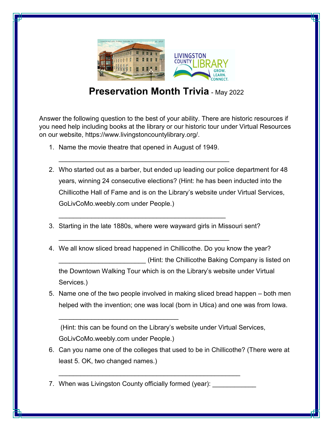

## **Preservation Month Trivia** - May 2022

Answer the following question to the best of your ability. There are historic resources if you need help including books at the library or our historic tour under Virtual Resources on our website, https://www.livingstoncountylibrary.org/.

1. Name the movie theatre that opened in August of 1949.

\_\_\_\_\_\_\_\_\_\_\_\_\_\_\_\_\_\_\_\_\_\_\_\_\_\_\_\_\_\_\_\_\_\_\_\_\_\_\_\_\_\_\_\_\_\_\_

\_\_\_\_\_\_\_\_\_\_\_\_\_\_\_\_\_\_\_\_\_\_\_\_\_\_\_\_\_\_\_\_\_\_\_\_\_\_\_\_\_\_\_\_\_\_

\_\_\_\_\_\_\_\_\_\_\_\_\_\_\_\_\_\_\_\_\_\_\_\_\_\_\_\_\_\_\_\_\_\_\_\_\_\_\_\_\_\_\_\_\_\_\_

- 2. Who started out as a barber, but ended up leading our police department for 48 years, winning 24 consecutive elections? (Hint: he has been inducted into the Chillicothe Hall of Fame and is on the Library's website under Virtual Services, GoLivCoMo.weebly.com under People.)
- 3. Starting in the late 1880s, where were wayward girls in Missouri sent?
- 4. We all know sliced bread happened in Chillicothe. Do you know the year? (Hint: the Chillicothe Baking Company is listed on the Downtown Walking Tour which is on the Library's website under Virtual Services.)
- 5. Name one of the two people involved in making sliced bread happen both men helped with the invention; one was local (born in Utica) and one was from Iowa.

(Hint: this can be found on the Library's website under Virtual Services, GoLivCoMo.weebly.com under People.)

- 6. Can you name one of the colleges that used to be in Chillicothe? (There were at least 5. OK, two changed names.)
- 7. When was Livingston County officially formed (year):

\_\_\_\_\_\_\_\_\_\_\_\_\_\_\_\_\_\_\_\_\_\_\_\_\_\_\_\_\_\_\_\_\_\_\_\_\_\_\_\_\_\_\_\_\_\_\_\_\_\_

\_\_\_\_\_\_\_\_\_\_\_\_\_\_\_\_\_\_\_\_\_\_\_\_\_\_\_\_\_\_\_\_\_